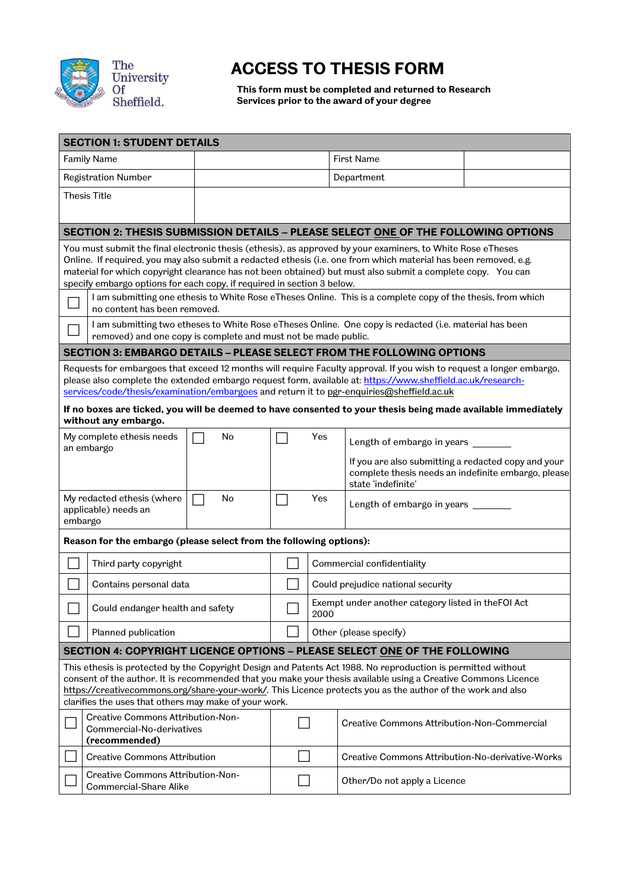

## **ACCESS TO THESIS FORM**

**This form must be completed and returned to Research Services prior to the award of your degree**

|                                                                                                                                                                                                                                 | <b>SECTION 1: STUDENT DETAILS</b>                                                                                                                                   |    |                                       |                                                                           |                                                                                                                                                                                                                                     |  |  |  |  |
|---------------------------------------------------------------------------------------------------------------------------------------------------------------------------------------------------------------------------------|---------------------------------------------------------------------------------------------------------------------------------------------------------------------|----|---------------------------------------|---------------------------------------------------------------------------|-------------------------------------------------------------------------------------------------------------------------------------------------------------------------------------------------------------------------------------|--|--|--|--|
| <b>Family Name</b>                                                                                                                                                                                                              |                                                                                                                                                                     |    |                                       | <b>First Name</b>                                                         |                                                                                                                                                                                                                                     |  |  |  |  |
| <b>Registration Number</b>                                                                                                                                                                                                      |                                                                                                                                                                     |    |                                       | Department                                                                |                                                                                                                                                                                                                                     |  |  |  |  |
|                                                                                                                                                                                                                                 | <b>Thesis Title</b>                                                                                                                                                 |    |                                       |                                                                           |                                                                                                                                                                                                                                     |  |  |  |  |
|                                                                                                                                                                                                                                 |                                                                                                                                                                     |    |                                       |                                                                           |                                                                                                                                                                                                                                     |  |  |  |  |
| SECTION 2: THESIS SUBMISSION DETAILS - PLEASE SELECT ONE OF THE FOLLOWING OPTIONS                                                                                                                                               |                                                                                                                                                                     |    |                                       |                                                                           |                                                                                                                                                                                                                                     |  |  |  |  |
| You must submit the final electronic thesis (ethesis), as approved by your examiners, to White Rose eTheses                                                                                                                     |                                                                                                                                                                     |    |                                       |                                                                           |                                                                                                                                                                                                                                     |  |  |  |  |
| Online. If required, you may also submit a redacted ethesis (i.e. one from which material has been removed, e.g.<br>material for which copyright clearance has not been obtained) but must also submit a complete copy. You can |                                                                                                                                                                     |    |                                       |                                                                           |                                                                                                                                                                                                                                     |  |  |  |  |
| specify embargo options for each copy, if required in section 3 below.                                                                                                                                                          |                                                                                                                                                                     |    |                                       |                                                                           |                                                                                                                                                                                                                                     |  |  |  |  |
|                                                                                                                                                                                                                                 | I am submitting one ethesis to White Rose eTheses Online. This is a complete copy of the thesis, from which<br>no content has been removed.                         |    |                                       |                                                                           |                                                                                                                                                                                                                                     |  |  |  |  |
|                                                                                                                                                                                                                                 | I am submitting two etheses to White Rose eTheses Online. One copy is redacted (i.e. material has been                                                              |    |                                       |                                                                           |                                                                                                                                                                                                                                     |  |  |  |  |
|                                                                                                                                                                                                                                 | removed) and one copy is complete and must not be made public.<br><b>SECTION 3: EMBARGO DETAILS - PLEASE SELECT FROM THE FOLLOWING OPTIONS</b>                      |    |                                       |                                                                           |                                                                                                                                                                                                                                     |  |  |  |  |
|                                                                                                                                                                                                                                 |                                                                                                                                                                     |    |                                       |                                                                           |                                                                                                                                                                                                                                     |  |  |  |  |
|                                                                                                                                                                                                                                 |                                                                                                                                                                     |    |                                       |                                                                           | Requests for embargoes that exceed 12 months will require Faculty approval. If you wish to request a longer embargo,<br>please also complete the extended embargo request form, available at: https://www.sheffield.ac.uk/research- |  |  |  |  |
|                                                                                                                                                                                                                                 |                                                                                                                                                                     |    |                                       |                                                                           | services/code/thesis/examination/embargoes and return it to pgr-enquiries@sheffield.ac.uk                                                                                                                                           |  |  |  |  |
|                                                                                                                                                                                                                                 |                                                                                                                                                                     |    |                                       |                                                                           | If no boxes are ticked, you will be deemed to have consented to your thesis being made available immediately                                                                                                                        |  |  |  |  |
|                                                                                                                                                                                                                                 | without any embargo.                                                                                                                                                |    |                                       |                                                                           |                                                                                                                                                                                                                                     |  |  |  |  |
|                                                                                                                                                                                                                                 | My complete ethesis needs<br>an embargo                                                                                                                             | No | Yes                                   |                                                                           | Length of embargo in years                                                                                                                                                                                                          |  |  |  |  |
|                                                                                                                                                                                                                                 |                                                                                                                                                                     |    |                                       |                                                                           | If you are also submitting a redacted copy and your                                                                                                                                                                                 |  |  |  |  |
|                                                                                                                                                                                                                                 |                                                                                                                                                                     |    |                                       | complete thesis needs an indefinite embargo, please<br>state 'indefinite' |                                                                                                                                                                                                                                     |  |  |  |  |
| My redacted ethesis (where<br>No                                                                                                                                                                                                |                                                                                                                                                                     |    | Yes<br>Length of embargo in years ___ |                                                                           |                                                                                                                                                                                                                                     |  |  |  |  |
| applicable) needs an<br>embargo                                                                                                                                                                                                 |                                                                                                                                                                     |    |                                       |                                                                           |                                                                                                                                                                                                                                     |  |  |  |  |
| Reason for the embargo (please select from the following options):                                                                                                                                                              |                                                                                                                                                                     |    |                                       |                                                                           |                                                                                                                                                                                                                                     |  |  |  |  |
|                                                                                                                                                                                                                                 | Third party copyright                                                                                                                                               |    |                                       |                                                                           | Commercial confidentiality                                                                                                                                                                                                          |  |  |  |  |
|                                                                                                                                                                                                                                 | Contains personal data                                                                                                                                              |    |                                       | Could prejudice national security                                         |                                                                                                                                                                                                                                     |  |  |  |  |
|                                                                                                                                                                                                                                 | Could endanger health and safety                                                                                                                                    |    |                                       | Exempt under another category listed in theFOI Act<br>2000                |                                                                                                                                                                                                                                     |  |  |  |  |
|                                                                                                                                                                                                                                 | Planned publication                                                                                                                                                 |    | Other (please specify)                |                                                                           |                                                                                                                                                                                                                                     |  |  |  |  |
|                                                                                                                                                                                                                                 |                                                                                                                                                                     |    |                                       |                                                                           | SECTION 4: COPYRIGHT LICENCE OPTIONS - PLEASE SELECT ONE OF THE FOLLOWING                                                                                                                                                           |  |  |  |  |
|                                                                                                                                                                                                                                 |                                                                                                                                                                     |    |                                       |                                                                           | This ethesis is protected by the Copyright Design and Patents Act 1988. No reproduction is permitted without                                                                                                                        |  |  |  |  |
|                                                                                                                                                                                                                                 |                                                                                                                                                                     |    |                                       |                                                                           | consent of the author. It is recommended that you make your thesis available using a Creative Commons Licence                                                                                                                       |  |  |  |  |
|                                                                                                                                                                                                                                 | https://creativecommons.org/share-your-work/. This Licence protects you as the author of the work and also<br>clarifies the uses that others may make of your work. |    |                                       |                                                                           |                                                                                                                                                                                                                                     |  |  |  |  |
| <b>Creative Commons Attribution-Non-</b>                                                                                                                                                                                        |                                                                                                                                                                     |    |                                       | <b>Creative Commons Attribution-Non-Commercial</b>                        |                                                                                                                                                                                                                                     |  |  |  |  |
| Commercial-No-derivatives<br>(recommended)                                                                                                                                                                                      |                                                                                                                                                                     |    |                                       |                                                                           |                                                                                                                                                                                                                                     |  |  |  |  |
|                                                                                                                                                                                                                                 | <b>Creative Commons Attribution</b>                                                                                                                                 |    |                                       |                                                                           | Creative Commons Attribution-No-derivative-Works                                                                                                                                                                                    |  |  |  |  |
| Creative Commons Attribution-Non-<br>Commercial-Share Alike                                                                                                                                                                     |                                                                                                                                                                     |    |                                       | Other/Do not apply a Licence                                              |                                                                                                                                                                                                                                     |  |  |  |  |